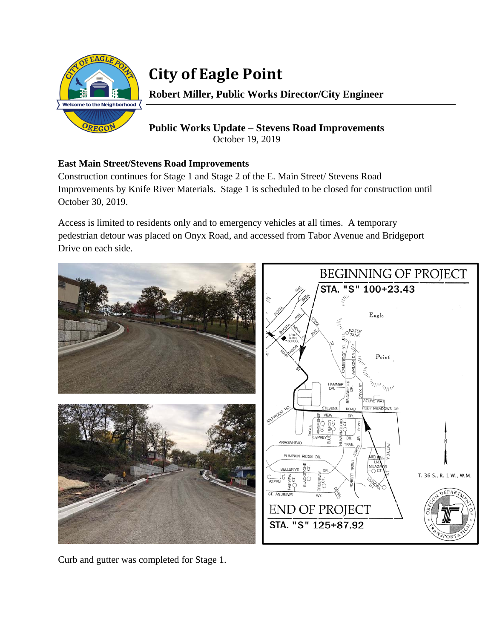

## **City of Eagle Point**

**Robert Miller, Public Works Director/City Engineer** 

**Public Works Update – Stevens Road Improvements**  October 19, 2019

## **East Main Street/Stevens Road Improvements**

Construction continues for Stage 1 and Stage 2 of the E. Main Street/ Stevens Road Improvements by Knife River Materials. Stage 1 is scheduled to be closed for construction until October 30, 2019.

Access is limited to residents only and to emergency vehicles at all times. A temporary pedestrian detour was placed on Onyx Road, and accessed from Tabor Avenue and Bridgeport Drive on each side.



Curb and gutter was completed for Stage 1.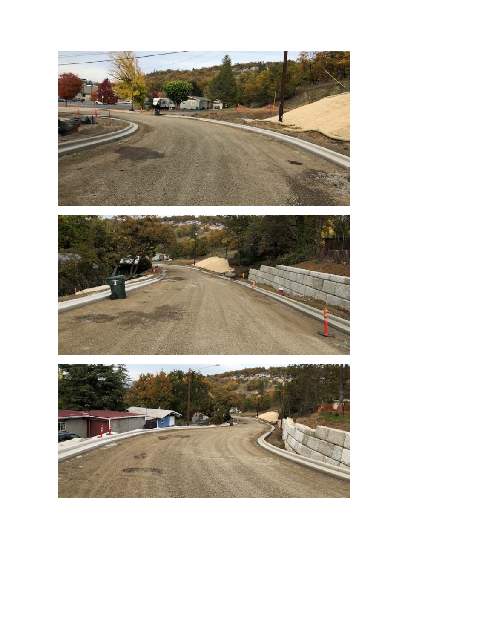



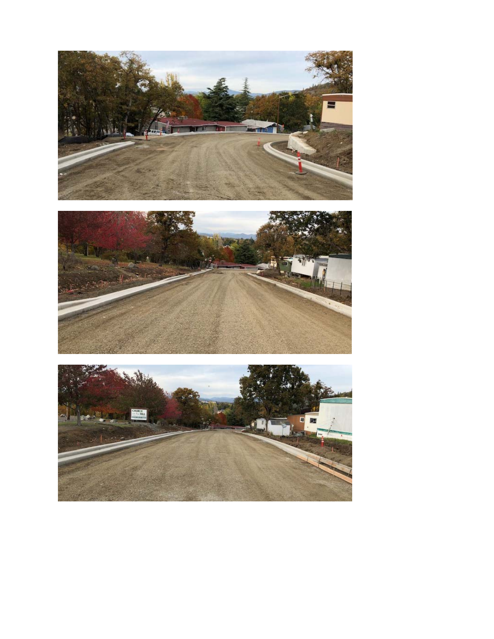



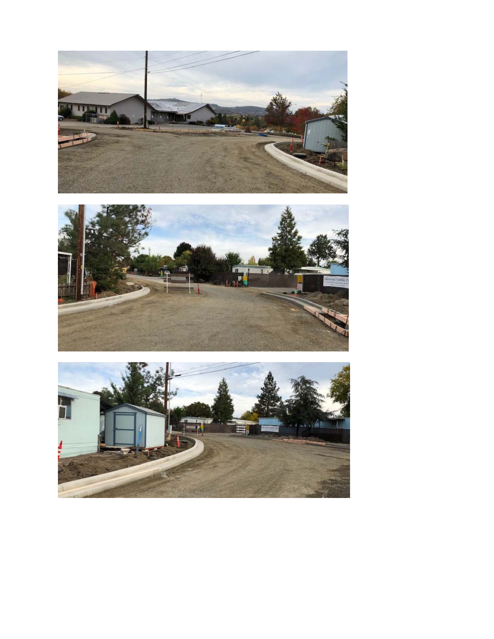



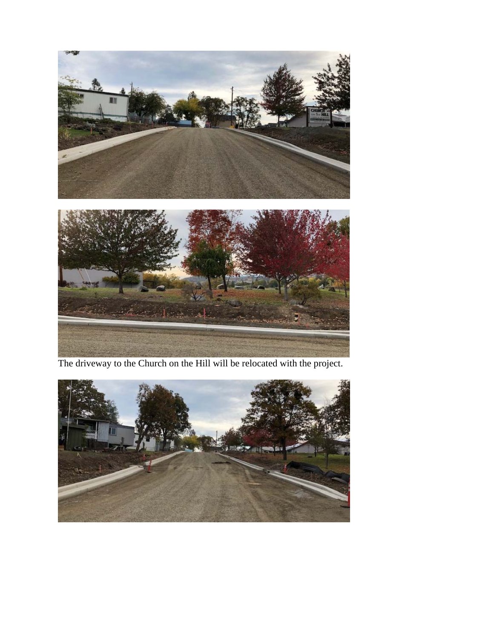

The driveway to the Church on the Hill will be relocated with the project.

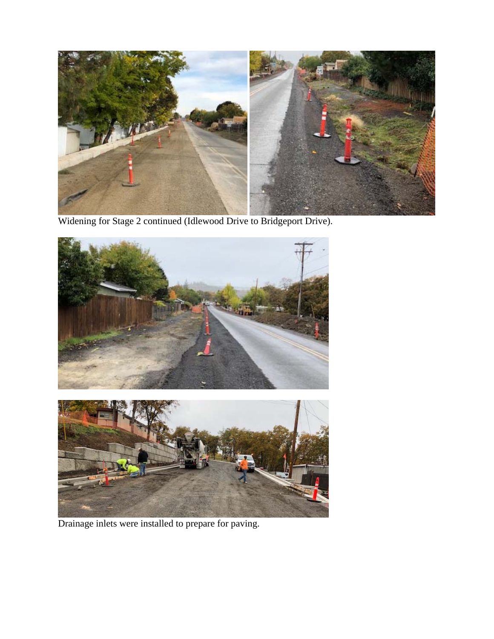

Widening for Stage 2 continued (Idlewood Drive to Bridgeport Drive).





Drainage inlets were installed to prepare for paving.